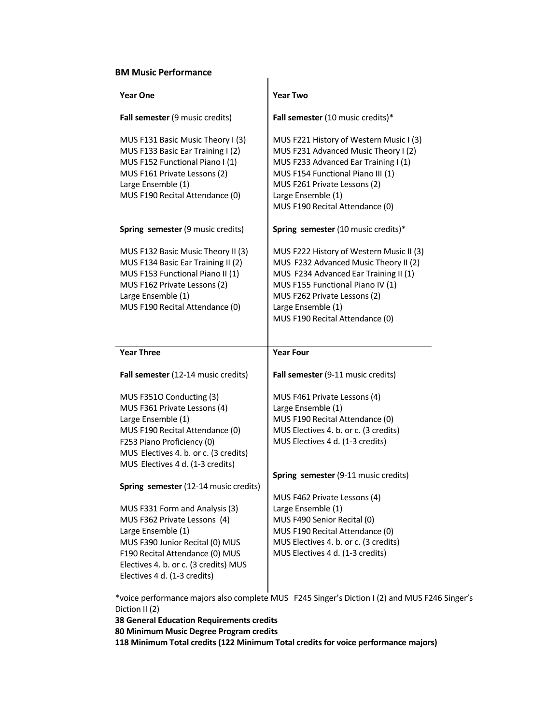## **BM Music Performance**

| <b>Year One</b>                                                                                                                                                                                                              | <b>Year Two</b>                                                                                                                                                                                                                                         |
|------------------------------------------------------------------------------------------------------------------------------------------------------------------------------------------------------------------------------|---------------------------------------------------------------------------------------------------------------------------------------------------------------------------------------------------------------------------------------------------------|
| Fall semester (9 music credits)                                                                                                                                                                                              | Fall semester (10 music credits)*                                                                                                                                                                                                                       |
| MUS F131 Basic Music Theory I (3)<br>MUS F133 Basic Ear Training I (2)<br>MUS F152 Functional Piano I (1)<br>MUS F161 Private Lessons (2)<br>Large Ensemble (1)<br>MUS F190 Recital Attendance (0)                           | MUS F221 History of Western Music I (3)<br>MUS F231 Advanced Music Theory I (2)<br>MUS F233 Advanced Ear Training I (1)<br>MUS F154 Functional Piano III (1)<br>MUS F261 Private Lessons (2)<br>Large Ensemble (1)<br>MUS F190 Recital Attendance (0)   |
| Spring semester (9 music credits)                                                                                                                                                                                            | Spring semester (10 music credits)*                                                                                                                                                                                                                     |
| MUS F132 Basic Music Theory II (3)<br>MUS F134 Basic Ear Training II (2)<br>MUS F153 Functional Piano II (1)<br>MUS F162 Private Lessons (2)<br>Large Ensemble (1)<br>MUS F190 Recital Attendance (0)                        | MUS F222 History of Western Music II (3)<br>MUS F232 Advanced Music Theory II (2)<br>MUS F234 Advanced Ear Training II (1)<br>MUS F155 Functional Piano IV (1)<br>MUS F262 Private Lessons (2)<br>Large Ensemble (1)<br>MUS F190 Recital Attendance (0) |
|                                                                                                                                                                                                                              |                                                                                                                                                                                                                                                         |
| <b>Year Three</b>                                                                                                                                                                                                            | <b>Year Four</b>                                                                                                                                                                                                                                        |
| Fall semester (12-14 music credits)                                                                                                                                                                                          | Fall semester (9-11 music credits)                                                                                                                                                                                                                      |
| MUS F351O Conducting (3)<br>MUS F361 Private Lessons (4)<br>Large Ensemble (1)<br>MUS F190 Recital Attendance (0)<br>F253 Piano Proficiency (0)<br>MUS Electives 4. b. or c. (3 credits)<br>MUS Electives 4 d. (1-3 credits) | MUS F461 Private Lessons (4)<br>Large Ensemble (1)<br>MUS F190 Recital Attendance (0)<br>MUS Electives 4. b. or c. (3 credits)<br>MUS Electives 4 d. (1-3 credits)                                                                                      |
| Spring semester (12-14 music credits)                                                                                                                                                                                        | Spring semester (9-11 music credits)<br>MUS F462 Private Lessons (4)                                                                                                                                                                                    |

 $\overline{1}$ 

\*voice performance majors also complete MUS F245 Singer's Diction I (2) and MUS F246 Singer's Diction II (2)

**38 General Education Requirements credits**

**80 Minimum Music Degree Program credits**

**118 Minimum Total credits (122 Minimum Total credits for voice performance majors)**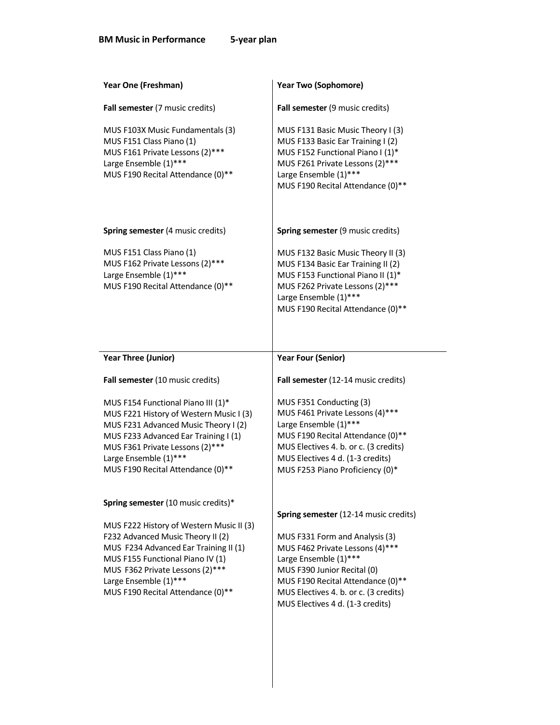| Year One (Freshman)                                                                                                                                                                                                                                                                                | <b>Year Two (Sophomore)</b>                                                                                                                                                                                                                      |
|----------------------------------------------------------------------------------------------------------------------------------------------------------------------------------------------------------------------------------------------------------------------------------------------------|--------------------------------------------------------------------------------------------------------------------------------------------------------------------------------------------------------------------------------------------------|
| Fall semester (7 music credits)                                                                                                                                                                                                                                                                    | Fall semester (9 music credits)                                                                                                                                                                                                                  |
| MUS F103X Music Fundamentals (3)<br>MUS F151 Class Piano (1)<br>MUS F161 Private Lessons (2)***<br>Large Ensemble (1)***<br>MUS F190 Recital Attendance (0)**                                                                                                                                      | MUS F131 Basic Music Theory I (3)<br>MUS F133 Basic Ear Training I (2)<br>MUS F152 Functional Piano I (1)*<br>MUS F261 Private Lessons (2)***<br>Large Ensemble (1)***<br>MUS F190 Recital Attendance (0)**                                      |
| Spring semester (4 music credits)                                                                                                                                                                                                                                                                  | Spring semester (9 music credits)                                                                                                                                                                                                                |
| MUS F151 Class Piano (1)<br>MUS F162 Private Lessons (2)***<br>Large Ensemble (1)***<br>MUS F190 Recital Attendance (0)**                                                                                                                                                                          | MUS F132 Basic Music Theory II (3)<br>MUS F134 Basic Ear Training II (2)<br>MUS F153 Functional Piano II (1)*<br>MUS F262 Private Lessons (2)***<br>Large Ensemble (1)***<br>MUS F190 Recital Attendance (0)**                                   |
| <b>Year Three (Junior)</b>                                                                                                                                                                                                                                                                         | <b>Year Four (Senior)</b>                                                                                                                                                                                                                        |
| Fall semester (10 music credits)                                                                                                                                                                                                                                                                   | Fall semester (12-14 music credits)                                                                                                                                                                                                              |
| MUS F154 Functional Piano III (1)*<br>MUS F221 History of Western Music I (3)<br>MUS F231 Advanced Music Theory I (2)<br>MUS F233 Advanced Ear Training I (1)<br>MUS F361 Private Lessons (2)***<br>Large Ensemble (1)***<br>MUS F190 Recital Attendance (0)**                                     | MUS F351 Conducting (3)<br>MUS F461 Private Lessons (4)***<br>Large Ensemble (1)***<br>MUS F190 Recital Attendance (0)**<br>MUS Electives 4. b. or c. (3 credits)<br>MUS Electives 4 d. (1-3 credits)<br>MUS F253 Piano Proficiency (0)*         |
| Spring semester (10 music credits)*<br>MUS F222 History of Western Music II (3)<br>F232 Advanced Music Theory II (2)<br>MUS F234 Advanced Ear Training II (1)<br>MUS F155 Functional Piano IV (1)<br>MUS F362 Private Lessons (2)***<br>Large Ensemble (1)***<br>MUS F190 Recital Attendance (0)** | Spring semester (12-14 music credits)<br>MUS F331 Form and Analysis (3)<br>MUS F462 Private Lessons (4)***<br>Large Ensemble (1)***<br>MUS F390 Junior Recital (0)<br>MUS F190 Recital Attendance (0)**<br>MUS Electives 4. b. or c. (3 credits) |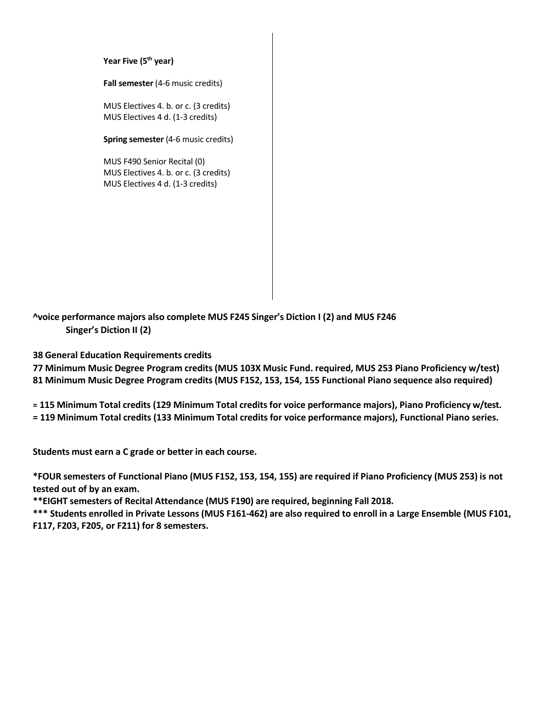**Year Five (5th year)**

**Fall semester** (4-6 music credits)

MUS Electives 4. b. or c. (3 credits) MUS Electives 4 d. (1-3 credits)

**Spring semester** (4-6 music credits)

MUS F490 Senior Recital (0) MUS Electives 4. b. or c. (3 credits) MUS Electives 4 d. (1-3 credits)

**^voice performance majors also complete MUS F245 Singer's Diction I (2) and MUS F246 Singer's Diction II (2)**

**38 General Education Requirements credits**

**77 Minimum Music Degree Program credits (MUS 103X Music Fund. required, MUS 253 Piano Proficiency w/test) 81 Minimum Music Degree Program credits (MUS F152, 153, 154, 155 Functional Piano sequence also required)**

**= 115 Minimum Total credits (129 Minimum Total credits for voice performance majors), Piano Proficiency w/test. = 119 Minimum Total credits (133 Minimum Total credits for voice performance majors), Functional Piano series.**

**Students must earn a C grade or better in each course.**

**\*FOUR semesters of Functional Piano (MUS F152, 153, 154, 155) are required if Piano Proficiency (MUS 253) is not tested out of by an exam.**

**\*\*EIGHT semesters of Recital Attendance (MUS F190) are required, beginning Fall 2018.**

**\*\*\* Students enrolled in Private Lessons (MUS F161-462) are also required to enroll in a Large Ensemble (MUS F101, F117, F203, F205, or F211) for 8 semesters.**